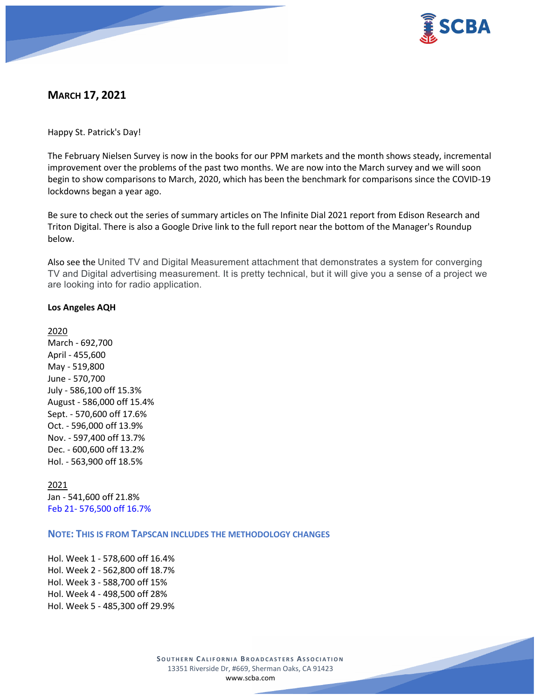

# **MARCH 17, 2021**

Happy St. Patrick's Day!

The February Nielsen Survey is now in the books for our PPM markets and the month shows steady, incremental improvement over the problems of the past two months. We are now into the March survey and we will soon begin to show comparisons to March, 2020, which has been the benchmark for comparisons since the COVID-19 lockdowns began a year ago.

Be sure to check out the series of summary articles on The Infinite Dial 2021 report from Edison Research and Triton Digital. There is also a Google Drive link to the full report near the bottom of the Manager's Roundup below.

Also see the United TV and Digital Measurement attachment that demonstrates a system for converging TV and Digital advertising measurement. It is pretty technical, but it will give you a sense of a project we are looking into for radio application.

## **Los Angeles AQH**

2020 March - 692,700 April - 455,600 May - 519,800 June - 570,700 July - 586,100 off 15.3% August - 586,000 off 15.4% Sept. - 570,600 off 17.6% Oct. - 596,000 off 13.9% Nov. - 597,400 off 13.7% Dec. - 600,600 off 13.2% Hol. - 563,900 off 18.5%

2021 Jan - 541,600 off 21.8% Feb 21- 576,500 off 16.7%

**NOTE: THIS IS FROM TAPSCAN INCLUDES THE METHODOLOGY CHANGES** 

Hol. Week 1 - 578,600 off 16.4% Hol. Week 2 - 562,800 off 18.7% Hol. Week 3 - 588,700 off 15% Hol. Week 4 - 498,500 off 28% Hol. Week 5 - 485,300 off 29.9%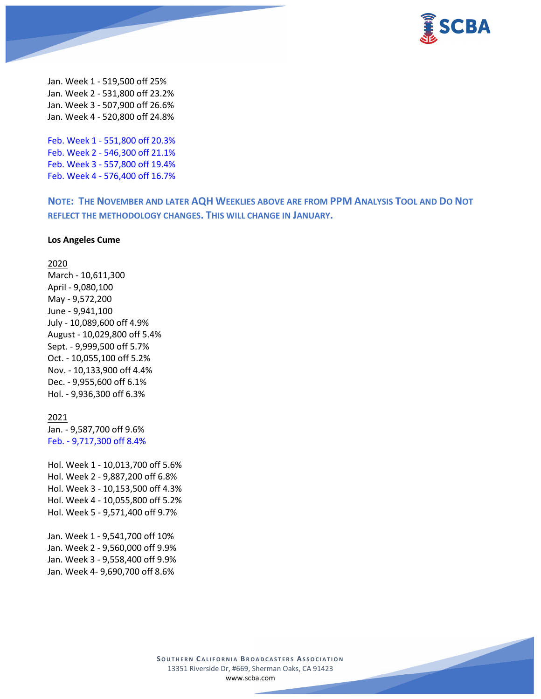

Jan. Week 1 - 519,500 off 25% Jan. Week 2 - 531,800 off 23.2% Jan. Week 3 - 507,900 off 26.6% Jan. Week 4 - 520,800 off 24.8%

Feb. Week 1 - 551,800 off 20.3% Feb. Week 2 - 546,300 off 21.1% Feb. Week 3 - 557,800 off 19.4% Feb. Week 4 - 576,400 off 16.7%

**NOTE: THE NOVEMBER AND LATER AQH WEEKLIES ABOVE ARE FROM PPM ANALYSIS TOOL AND DO NOT REFLECT THE METHODOLOGY CHANGES. THIS WILL CHANGE IN JANUARY.**

#### **Los Angeles Cume**

#### 2020

March - 10,611,300 April - 9,080,100 May - 9,572,200 June - 9,941,100 July - 10,089,600 off 4.9% August - 10,029,800 off 5.4% Sept. - 9,999,500 off 5.7% Oct. - 10,055,100 off 5.2% Nov. - 10,133,900 off 4.4% Dec. - 9,955,600 off 6.1% Hol. - 9,936,300 off 6.3%

#### 2021

Jan. - 9,587,700 off 9.6% Feb. - 9,717,300 off 8.4%

Hol. Week 1 - 10,013,700 off 5.6% Hol. Week 2 - 9,887,200 off 6.8% Hol. Week 3 - 10,153,500 off 4.3% Hol. Week 4 - 10,055,800 off 5.2% Hol. Week 5 - 9,571,400 off 9.7%

Jan. Week 1 - 9,541,700 off 10% Jan. Week 2 - 9,560,000 off 9.9% Jan. Week 3 - 9,558,400 off 9.9% Jan. Week 4- 9,690,700 off 8.6%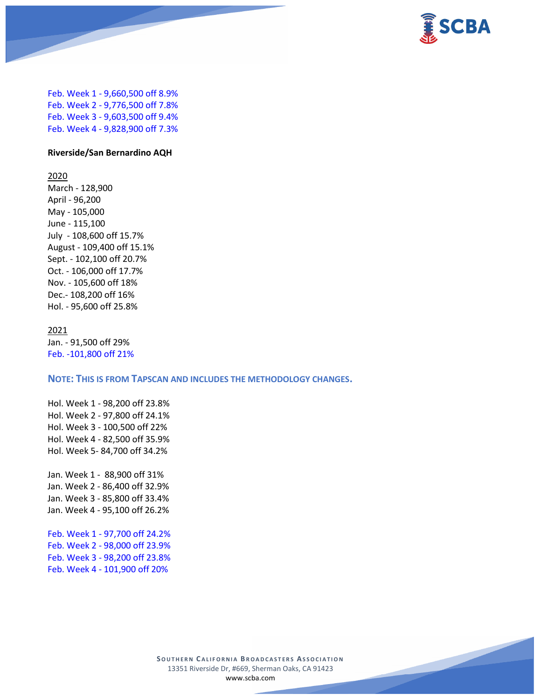

Feb. Week 1 - 9,660,500 off 8.9% Feb. Week 2 - 9,776,500 off 7.8% Feb. Week 3 - 9,603,500 off 9.4% Feb. Week 4 - 9,828,900 off 7.3%

### **Riverside/San Bernardino AQH**

2020

March - 128,900 April - 96,200 May - 105,000 June - 115,100 July - 108,600 off 15.7% August - 109,400 off 15.1% Sept. - 102,100 off 20.7% Oct. - 106,000 off 17.7% Nov. - 105,600 off 18% Dec.- 108,200 off 16% Hol. - 95,600 off 25.8%

### 2021

Jan. - 91,500 off 29% Feb. -101,800 off 21%

#### **NOTE: THIS IS FROM TAPSCAN AND INCLUDES THE METHODOLOGY CHANGES.**

Hol. Week 1 - 98,200 off 23.8% Hol. Week 2 - 97,800 off 24.1% Hol. Week 3 - 100,500 off 22% Hol. Week 4 - 82,500 off 35.9% Hol. Week 5- 84,700 off 34.2%

Jan. Week 1 - 88,900 off 31% Jan. Week 2 - 86,400 off 32.9% Jan. Week 3 - 85,800 off 33.4% Jan. Week 4 - 95,100 off 26.2%

Feb. Week 1 - 97,700 off 24.2% Feb. Week 2 - 98,000 off 23.9% Feb. Week 3 - 98,200 off 23.8% Feb. Week 4 - 101,900 off 20%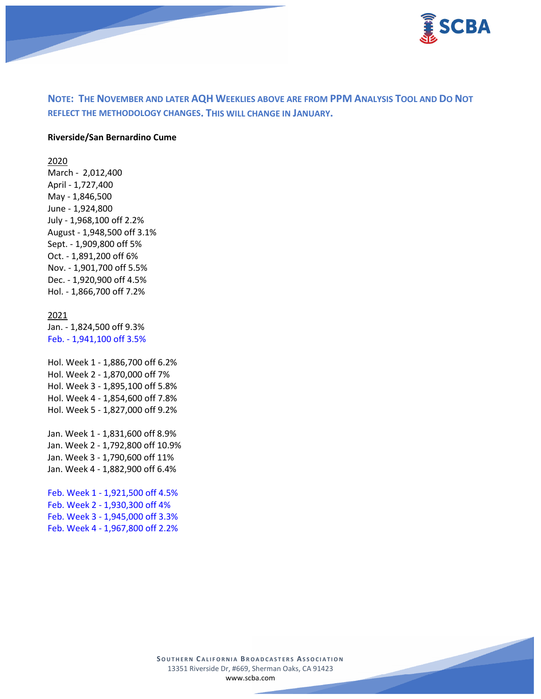

# **NOTE: THE NOVEMBER AND LATER AQH WEEKLIES ABOVE ARE FROM PPM ANALYSIS TOOL AND DO NOT REFLECT THE METHODOLOGY CHANGES. THIS WILL CHANGE IN JANUARY.**

#### **Riverside/San Bernardino Cume**

2020

March - 2,012,400 April - 1,727,400 May - 1,846,500 June - 1,924,800 July - 1,968,100 off 2.2% August - 1,948,500 off 3.1% Sept. - 1,909,800 off 5% Oct. - 1,891,200 off 6% Nov. - 1,901,700 off 5.5% Dec. - 1,920,900 off 4.5% Hol. - 1,866,700 off 7.2%

#### 2021

Jan. - 1,824,500 off 9.3% Feb. - 1,941,100 off 3.5%

Hol. Week 1 - 1,886,700 off 6.2% Hol. Week 2 - 1,870,000 off 7% Hol. Week 3 - 1,895,100 off 5.8% Hol. Week 4 - 1,854,600 off 7.8% Hol. Week 5 - 1,827,000 off 9.2%

Jan. Week 1 - 1,831,600 off 8.9% Jan. Week 2 - 1,792,800 off 10.9% Jan. Week 3 - 1,790,600 off 11% Jan. Week 4 - 1,882,900 off 6.4%

Feb. Week 1 - 1,921,500 off 4.5% Feb. Week 2 - 1,930,300 off 4% Feb. Week 3 - 1,945,000 off 3.3% Feb. Week 4 - 1,967,800 off 2.2%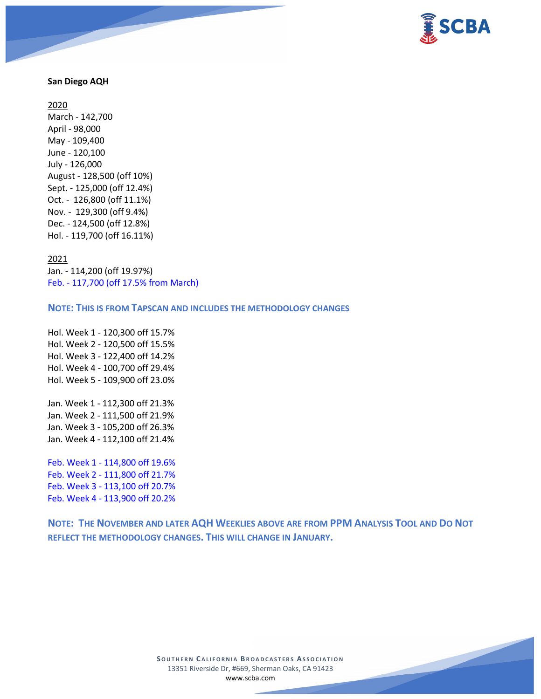

### **San Diego AQH**

2020 March - 142,700 April - 98,000 May - 109,400 June - 120,100 July - 126,000 August - 128,500 (off 10%) Sept. - 125,000 (off 12.4%) Oct. - 126,800 (off 11.1%) Nov. - 129,300 (off 9.4%) Dec. - 124,500 (off 12.8%) Hol. - 119,700 (off 16.11%)

#### 2021

Jan. - 114,200 (off 19.97%) Feb. - 117,700 (off 17.5% from March)

### **NOTE: THIS IS FROM TAPSCAN AND INCLUDES THE METHODOLOGY CHANGES**

Hol. Week 1 - 120,300 off 15.7% Hol. Week 2 - 120,500 off 15.5% Hol. Week 3 - 122,400 off 14.2% Hol. Week 4 - 100,700 off 29.4% Hol. Week 5 - 109,900 off 23.0%

Jan. Week 1 - 112,300 off 21.3% Jan. Week 2 - 111,500 off 21.9% Jan. Week 3 - 105,200 off 26.3% Jan. Week 4 - 112,100 off 21.4%

Feb. Week 1 - 114,800 off 19.6% Feb. Week 2 - 111,800 off 21.7% Feb. Week 3 - 113,100 off 20.7% Feb. Week 4 - 113,900 off 20.2%

**NOTE: THE NOVEMBER AND LATER AQH WEEKLIES ABOVE ARE FROM PPM ANALYSIS TOOL AND DO NOT REFLECT THE METHODOLOGY CHANGES. THIS WILL CHANGE IN JANUARY.**

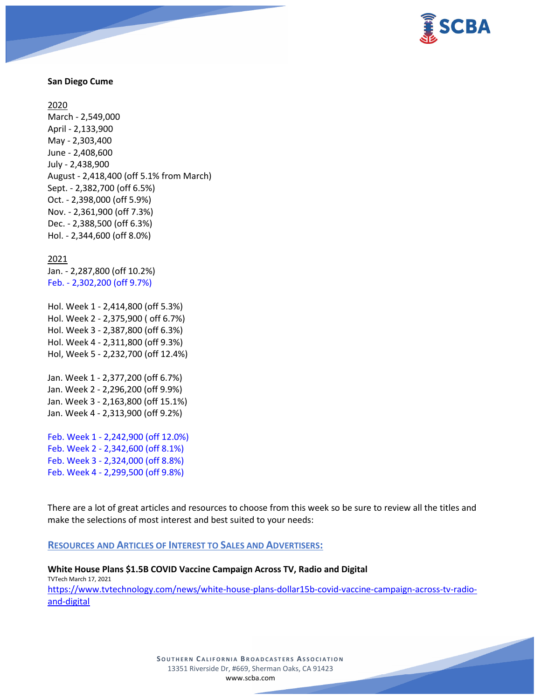

### **San Diego Cume**

2020

March - 2,549,000 April - 2,133,900 May - 2,303,400 June - 2,408,600 July - 2,438,900 August - 2,418,400 (off 5.1% from March) Sept. - 2,382,700 (off 6.5%) Oct. - 2,398,000 (off 5.9%) Nov. - 2,361,900 (off 7.3%) Dec. - 2,388,500 (off 6.3%) Hol. - 2,344,600 (off 8.0%)

2021 Jan. - 2,287,800 (off 10.2%) Feb. - 2,302,200 (off 9.7%)

Hol. Week 1 - 2,414,800 (off 5.3%) Hol. Week 2 - 2,375,900 ( off 6.7%) Hol. Week 3 - 2,387,800 (off 6.3%) Hol. Week 4 - 2,311,800 (off 9.3%) Hol, Week 5 - 2,232,700 (off 12.4%)

Jan. Week 1 - 2,377,200 (off 6.7%) Jan. Week 2 - 2,296,200 (off 9.9%) Jan. Week 3 - 2,163,800 (off 15.1%) Jan. Week 4 - 2,313,900 (off 9.2%)

Feb. Week 1 - 2,242,900 (off 12.0%) Feb. Week 2 - 2,342,600 (off 8.1%) Feb. Week 3 - 2,324,000 (off 8.8%) Feb. Week 4 - 2,299,500 (off 9.8%)

There are a lot of great articles and resources to choose from this week so be sure to review all the titles and make the selections of most interest and best suited to your needs:

### **RESOURCES AND ARTICLES OF INTEREST TO SALES AND ADVERTISERS:**

**White House Plans \$1.5B COVID Vaccine Campaign Across TV, Radio and Digital** TVTech March 17, 2021 [https://www.tvtechnology.com/news/white-house-plans-dollar15b-covid-vaccine-campaign-across-tv-radio](https://www.tvtechnology.com/news/white-house-plans-dollar15b-covid-vaccine-campaign-across-tv-radio-and-digital)[and-digital](https://www.tvtechnology.com/news/white-house-plans-dollar15b-covid-vaccine-campaign-across-tv-radio-and-digital)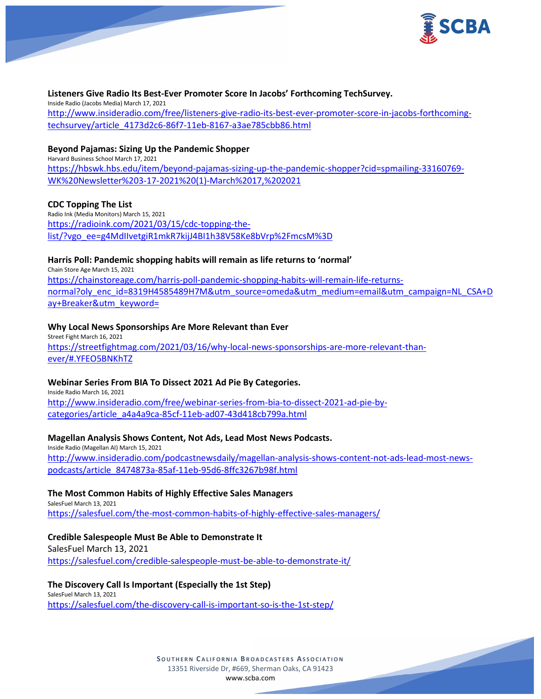

#### **Listeners Give Radio Its Best-Ever Promoter Score In Jacobs' Forthcoming TechSurvey.**

Inside Radio (Jacobs Media) March 17, 2021 [http://www.insideradio.com/free/listeners-give-radio-its-best-ever-promoter-score-in-jacobs-forthcoming](http://www.insideradio.com/free/listeners-give-radio-its-best-ever-promoter-score-in-jacobs-forthcoming-techsurvey/article_4173d2c6-86f7-11eb-8167-a3ae785cbb86.html)[techsurvey/article\\_4173d2c6-86f7-11eb-8167-a3ae785cbb86.html](http://www.insideradio.com/free/listeners-give-radio-its-best-ever-promoter-score-in-jacobs-forthcoming-techsurvey/article_4173d2c6-86f7-11eb-8167-a3ae785cbb86.html)

### **Beyond Pajamas: Sizing Up the Pandemic Shopper**

Harvard Business School March 17, 2021 [https://hbswk.hbs.edu/item/beyond-pajamas-sizing-up-the-pandemic-shopper?cid=spmailing-33160769-](https://hbswk.hbs.edu/item/beyond-pajamas-sizing-up-the-pandemic-shopper?cid=spmailing-33160769-WK%20Newsletter%203-17-2021%20(1)-March%2017,%202021) [WK%20Newsletter%203-17-2021%20\(1\)-March%2017,%202021](https://hbswk.hbs.edu/item/beyond-pajamas-sizing-up-the-pandemic-shopper?cid=spmailing-33160769-WK%20Newsletter%203-17-2021%20(1)-March%2017,%202021)

#### **CDC Topping The List**

Radio Ink (Media Monitors) March 15, 2021 [https://radioink.com/2021/03/15/cdc-topping-the](https://radioink.com/2021/03/15/cdc-topping-the-list/?vgo_ee=g4MdIIvetgiR1mkR7kijJ4BI1h38V58Ke8bVrp%2FmcsM%3D)[list/?vgo\\_ee=g4MdIIvetgiR1mkR7kijJ4BI1h38V58Ke8bVrp%2FmcsM%3D](https://radioink.com/2021/03/15/cdc-topping-the-list/?vgo_ee=g4MdIIvetgiR1mkR7kijJ4BI1h38V58Ke8bVrp%2FmcsM%3D)

#### **Harris Poll: Pandemic shopping habits will remain as life returns to 'normal'**

Chain Store Age March 15, 2021 [https://chainstoreage.com/harris-poll-pandemic-shopping-habits-will-remain-life-returns](https://chainstoreage.com/harris-poll-pandemic-shopping-habits-will-remain-life-returns-normal?oly_enc_id=8319H4585489H7M&utm_source=omeda&utm_medium=email&utm_campaign=NL_CSA+Day+Breaker&utm_keyword=)[normal?oly\\_enc\\_id=8319H4585489H7M&utm\\_source=omeda&utm\\_medium=email&utm\\_campaign=NL\\_CSA+D](https://chainstoreage.com/harris-poll-pandemic-shopping-habits-will-remain-life-returns-normal?oly_enc_id=8319H4585489H7M&utm_source=omeda&utm_medium=email&utm_campaign=NL_CSA+Day+Breaker&utm_keyword=) [ay+Breaker&utm\\_keyword=](https://chainstoreage.com/harris-poll-pandemic-shopping-habits-will-remain-life-returns-normal?oly_enc_id=8319H4585489H7M&utm_source=omeda&utm_medium=email&utm_campaign=NL_CSA+Day+Breaker&utm_keyword=)

#### **Why Local News Sponsorships Are More Relevant than Ever**

Street Fight March 16, 2021 [https://streetfightmag.com/2021/03/16/why-local-news-sponsorships-are-more-relevant-than](https://streetfightmag.com/2021/03/16/why-local-news-sponsorships-are-more-relevant-than-ever/#.YFEO5BNKhTZ)[ever/#.YFEO5BNKhTZ](https://streetfightmag.com/2021/03/16/why-local-news-sponsorships-are-more-relevant-than-ever/#.YFEO5BNKhTZ)

### **Webinar Series From BIA To Dissect 2021 Ad Pie By Categories.**

Inside Radio March 16, 2021 [http://www.insideradio.com/free/webinar-series-from-bia-to-dissect-2021-ad-pie-by](http://www.insideradio.com/free/webinar-series-from-bia-to-dissect-2021-ad-pie-by-categories/article_a4a4a9ca-85cf-11eb-ad07-43d418cb799a.html)[categories/article\\_a4a4a9ca-85cf-11eb-ad07-43d418cb799a.html](http://www.insideradio.com/free/webinar-series-from-bia-to-dissect-2021-ad-pie-by-categories/article_a4a4a9ca-85cf-11eb-ad07-43d418cb799a.html)

### **Magellan Analysis Shows Content, Not Ads, Lead Most News Podcasts.**

Inside Radio (Magellan AI) March 15, 2021 [http://www.insideradio.com/podcastnewsdaily/magellan-analysis-shows-content-not-ads-lead-most-news](http://www.insideradio.com/podcastnewsdaily/magellan-analysis-shows-content-not-ads-lead-most-news-podcasts/article_8474873a-85af-11eb-95d6-8ffc3267b98f.html)[podcasts/article\\_8474873a-85af-11eb-95d6-8ffc3267b98f.html](http://www.insideradio.com/podcastnewsdaily/magellan-analysis-shows-content-not-ads-lead-most-news-podcasts/article_8474873a-85af-11eb-95d6-8ffc3267b98f.html)

# **The Most Common Habits of Highly Effective Sales Managers**

SalesFuel March 13, 2021 <https://salesfuel.com/the-most-common-habits-of-highly-effective-sales-managers/>

### **Credible Salespeople Must Be Able to Demonstrate It**

SalesFuel March 13, 2021 <https://salesfuel.com/credible-salespeople-must-be-able-to-demonstrate-it/>

#### **The Discovery Call Is Important (Especially the 1st Step)** SalesFuel March 13, 2021

<https://salesfuel.com/the-discovery-call-is-important-so-is-the-1st-step/>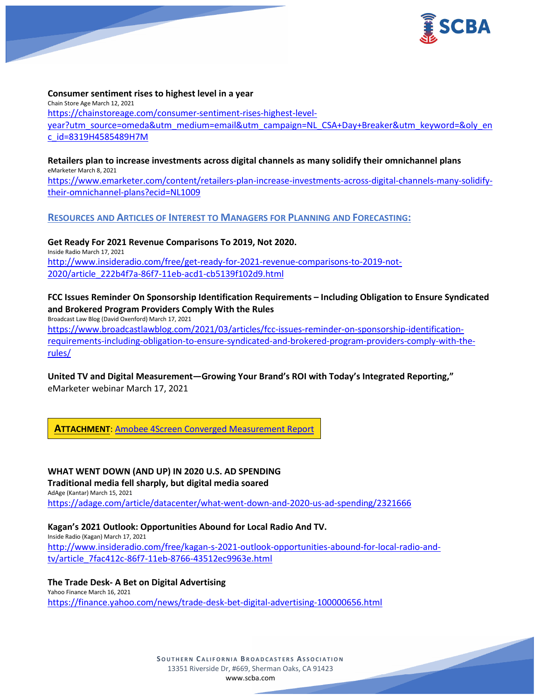

### **Consumer sentiment rises to highest level in a year**

Chain Store Age March 12, 2021 [https://chainstoreage.com/consumer-sentiment-rises-highest-level](https://chainstoreage.com/consumer-sentiment-rises-highest-level-year?utm_source=omeda&utm_medium=email&utm_campaign=NL_CSA+Day+Breaker&utm_keyword=&oly_enc_id=8319H4585489H7M)[year?utm\\_source=omeda&utm\\_medium=email&utm\\_campaign=NL\\_CSA+Day+Breaker&utm\\_keyword=&oly\\_en](https://chainstoreage.com/consumer-sentiment-rises-highest-level-year?utm_source=omeda&utm_medium=email&utm_campaign=NL_CSA+Day+Breaker&utm_keyword=&oly_enc_id=8319H4585489H7M) [c\\_id=8319H4585489H7M](https://chainstoreage.com/consumer-sentiment-rises-highest-level-year?utm_source=omeda&utm_medium=email&utm_campaign=NL_CSA+Day+Breaker&utm_keyword=&oly_enc_id=8319H4585489H7M)

# **Retailers plan to increase investments across digital channels as many solidify their omnichannel plans** eMarketer March 8, 2021

[https://www.emarketer.com/content/retailers-plan-increase-investments-across-digital-channels-many-solidify](https://www.emarketer.com/content/retailers-plan-increase-investments-across-digital-channels-many-solidify-their-omnichannel-plans?ecid=NL1009)[their-omnichannel-plans?ecid=NL1009](https://www.emarketer.com/content/retailers-plan-increase-investments-across-digital-channels-many-solidify-their-omnichannel-plans?ecid=NL1009)

## **RESOURCES AND ARTICLES OF INTEREST TO MANAGERS FOR PLANNING AND FORECASTING:**

**Get Ready For 2021 Revenue Comparisons To 2019, Not 2020.** Inside Radio March 17, 2021 [http://www.insideradio.com/free/get-ready-for-2021-revenue-comparisons-to-2019-not-](http://www.insideradio.com/free/get-ready-for-2021-revenue-comparisons-to-2019-not-2020/article_222b4f7a-86f7-11eb-acd1-cb5139f102d9.html)[2020/article\\_222b4f7a-86f7-11eb-acd1-cb5139f102d9.html](http://www.insideradio.com/free/get-ready-for-2021-revenue-comparisons-to-2019-not-2020/article_222b4f7a-86f7-11eb-acd1-cb5139f102d9.html)

# **FCC Issues Reminder On Sponsorship Identification Requirements – Including Obligation to Ensure Syndicated and Brokered Program Providers Comply With the Rules**

Broadcast Law Blog (David Oxenford) March 17, 2021

[https://www.broadcastlawblog.com/2021/03/articles/fcc-issues-reminder-on-sponsorship-identification](https://www.broadcastlawblog.com/2021/03/articles/fcc-issues-reminder-on-sponsorship-identification-requirements-including-obligation-to-ensure-syndicated-and-brokered-program-providers-comply-with-the-rules/)[requirements-including-obligation-to-ensure-syndicated-and-brokered-program-providers-comply-with-the](https://www.broadcastlawblog.com/2021/03/articles/fcc-issues-reminder-on-sponsorship-identification-requirements-including-obligation-to-ensure-syndicated-and-brokered-program-providers-comply-with-the-rules/)[rules/](https://www.broadcastlawblog.com/2021/03/articles/fcc-issues-reminder-on-sponsorship-identification-requirements-including-obligation-to-ensure-syndicated-and-brokered-program-providers-comply-with-the-rules/)

# **United TV and Digital Measurement—Growing Your Brand's ROI with Today's Integrated Reporting,"** eMarketer webinar March 17, 2021

**ATTACHMENT**: [Amobee 4Screen Converged Measurement Report](https://scba.com/amobee-4screen-converged-measurement-report/)

**WHAT WENT DOWN (AND UP) IN 2020 U.S. AD SPENDING Traditional media fell sharply, but digital media soared** AdAge (Kantar) March 15, 2021 <https://adage.com/article/datacenter/what-went-down-and-2020-us-ad-spending/2321666>

**Kagan's 2021 Outlook: Opportunities Abound for Local Radio And TV.** Inside Radio (Kagan) March 17, 2021 [http://www.insideradio.com/free/kagan-s-2021-outlook-opportunities-abound-for-local-radio-and](http://www.insideradio.com/free/kagan-s-2021-outlook-opportunities-abound-for-local-radio-and-tv/article_7fac412c-86f7-11eb-8766-43512ec9963e.html)[tv/article\\_7fac412c-86f7-11eb-8766-43512ec9963e.html](http://www.insideradio.com/free/kagan-s-2021-outlook-opportunities-abound-for-local-radio-and-tv/article_7fac412c-86f7-11eb-8766-43512ec9963e.html)

**The Trade Desk- A Bet on Digital Advertising** Yahoo Finance March 16, 2021 <https://finance.yahoo.com/news/trade-desk-bet-digital-advertising-100000656.html>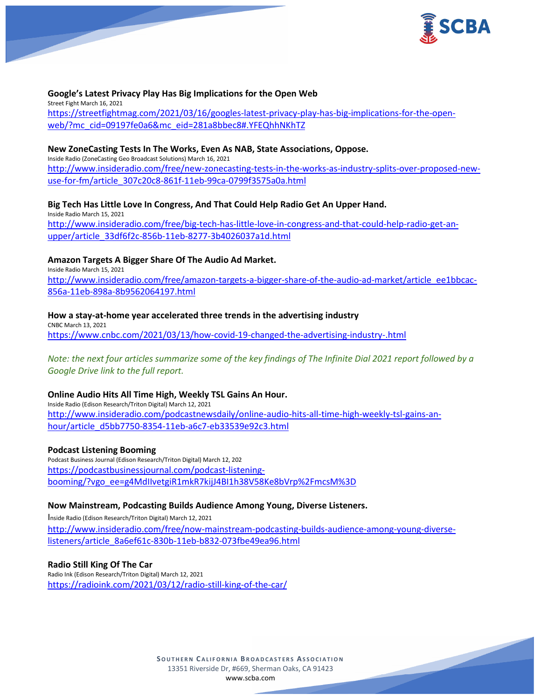

## **Google's Latest Privacy Play Has Big Implications for the Open Web**

Street Fight March 16, 2021 [https://streetfightmag.com/2021/03/16/googles-latest-privacy-play-has-big-implications-for-the-open](https://streetfightmag.com/2021/03/16/googles-latest-privacy-play-has-big-implications-for-the-open-web/?mc_cid=09197fe0a6&mc_eid=281a8bbec8#.YFEQhhNKhTZ)[web/?mc\\_cid=09197fe0a6&mc\\_eid=281a8bbec8#.YFEQhhNKhTZ](https://streetfightmag.com/2021/03/16/googles-latest-privacy-play-has-big-implications-for-the-open-web/?mc_cid=09197fe0a6&mc_eid=281a8bbec8#.YFEQhhNKhTZ)

### **New ZoneCasting Tests In The Works, Even As NAB, State Associations, Oppose.**

Inside Radio (ZoneCasting Geo Broadcast Solutions) March 16, 2021 [http://www.insideradio.com/free/new-zonecasting-tests-in-the-works-as-industry-splits-over-proposed-new](http://www.insideradio.com/free/new-zonecasting-tests-in-the-works-as-industry-splits-over-proposed-new-use-for-fm/article_307c20c8-861f-11eb-99ca-0799f3575a0a.html)[use-for-fm/article\\_307c20c8-861f-11eb-99ca-0799f3575a0a.html](http://www.insideradio.com/free/new-zonecasting-tests-in-the-works-as-industry-splits-over-proposed-new-use-for-fm/article_307c20c8-861f-11eb-99ca-0799f3575a0a.html)

## **Big Tech Has Little Love In Congress, And That Could Help Radio Get An Upper Hand.**

Inside Radio March 15, 2021 [http://www.insideradio.com/free/big-tech-has-little-love-in-congress-and-that-could-help-radio-get-an](http://www.insideradio.com/free/big-tech-has-little-love-in-congress-and-that-could-help-radio-get-an-upper/article_33df6f2c-856b-11eb-8277-3b4026037a1d.html)[upper/article\\_33df6f2c-856b-11eb-8277-3b4026037a1d.html](http://www.insideradio.com/free/big-tech-has-little-love-in-congress-and-that-could-help-radio-get-an-upper/article_33df6f2c-856b-11eb-8277-3b4026037a1d.html)

## **Amazon Targets A Bigger Share Of The Audio Ad Market.**

Inside Radio March 15, 2021 [http://www.insideradio.com/free/amazon-targets-a-bigger-share-of-the-audio-ad-market/article\\_ee1bbcac-](http://www.insideradio.com/free/amazon-targets-a-bigger-share-of-the-audio-ad-market/article_ee1bbcac-856a-11eb-898a-8b9562064197.html)[856a-11eb-898a-8b9562064197.html](http://www.insideradio.com/free/amazon-targets-a-bigger-share-of-the-audio-ad-market/article_ee1bbcac-856a-11eb-898a-8b9562064197.html)

## **How a stay-at-home year accelerated three trends in the advertising industry**

CNBC March 13, 2021 <https://www.cnbc.com/2021/03/13/how-covid-19-changed-the-advertising-industry-.html>

*Note: the next four articles summarize some of the key findings of The Infinite Dial 2021 report followed by a Google Drive link to the full report.*

### **Online Audio Hits All Time High, Weekly TSL Gains An Hour.**

Inside Radio (Edison Research/Triton Digital) March 12, 2021 [http://www.insideradio.com/podcastnewsdaily/online-audio-hits-all-time-high-weekly-tsl-gains-an](http://www.insideradio.com/podcastnewsdaily/online-audio-hits-all-time-high-weekly-tsl-gains-an-hour/article_d5bb7750-8354-11eb-a6c7-eb33539e92c3.html)[hour/article\\_d5bb7750-8354-11eb-a6c7-eb33539e92c3.html](http://www.insideradio.com/podcastnewsdaily/online-audio-hits-all-time-high-weekly-tsl-gains-an-hour/article_d5bb7750-8354-11eb-a6c7-eb33539e92c3.html)

### **Podcast Listening Booming**

Podcast Business Journal (Edison Research/Triton Digital) March 12, 202 [https://podcastbusinessjournal.com/podcast-listening](https://podcastbusinessjournal.com/podcast-listening-booming/?vgo_ee=g4MdIIvetgiR1mkR7kijJ4BI1h38V58Ke8bVrp%2FmcsM%3D)[booming/?vgo\\_ee=g4MdIIvetgiR1mkR7kijJ4BI1h38V58Ke8bVrp%2FmcsM%3D](https://podcastbusinessjournal.com/podcast-listening-booming/?vgo_ee=g4MdIIvetgiR1mkR7kijJ4BI1h38V58Ke8bVrp%2FmcsM%3D)

## **Now Mainstream, Podcasting Builds Audience Among Young, Diverse Listeners.**

Inside Radio (Edison Research/Triton Digital) March 12, 2021 [http://www.insideradio.com/free/now-mainstream-podcasting-builds-audience-among-young-diverse](http://www.insideradio.com/free/now-mainstream-podcasting-builds-audience-among-young-diverse-listeners/article_8a6ef61c-830b-11eb-b832-073fbe49ea96.html)[listeners/article\\_8a6ef61c-830b-11eb-b832-073fbe49ea96.html](http://www.insideradio.com/free/now-mainstream-podcasting-builds-audience-among-young-diverse-listeners/article_8a6ef61c-830b-11eb-b832-073fbe49ea96.html)

### **Radio Still King Of The Car**

Radio Ink (Edison Research/Triton Digital) March 12, 2021 <https://radioink.com/2021/03/12/radio-still-king-of-the-car/>